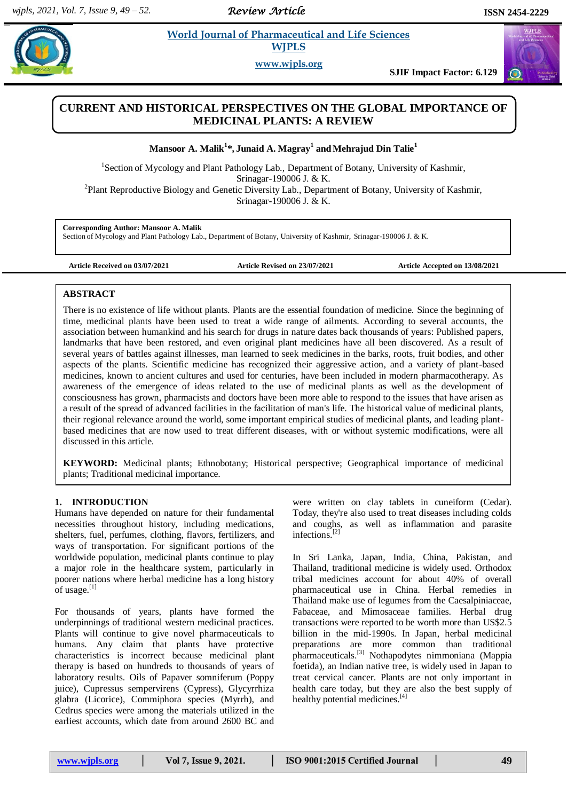*Review Article* 

 $\Omega$ 

**Example 3** *E* **World Journal of Pharmaceutical and Life Sciences <b>And Life Science A**  **WJPLS**

**www.wjpls.org**

**SJIF Impact Factor: 6.129**

# **CURRENT AND HISTORICAL PERSPECTIVES ON THE GLOBAL IMPORTANCE OF MEDICINAL PLANTS: A REVIEW**

**Mansoor A. Malik<sup>1</sup> \*, Junaid A. Magray<sup>1</sup> andMehrajud Din Talie<sup>1</sup>**

<sup>1</sup>Section of Mycology and Plant Pathology Lab., Department of Botany, University of Kashmir, Srinagar-190006 J. & K.

<sup>2</sup>Plant Reproductive Biology and Genetic Diversity Lab., Department of Botany, University of Kashmir, Srinagar-190006 J. & K.

**Corresponding Author: Mansoor A. Malik**

Section of Mycology and Plant Pathology Lab., Department of Botany, University of Kashmir, Srinagar-190006 J. & K.

**Article Received on 03/07/2021 Article Revised on 23/07/2021 Article Accepted on 13/08/2021**

#### **ABSTRACT**

There is no existence of life without plants. Plants are the essential foundation of medicine. Since the beginning of time, medicinal plants have been used to treat a wide range of ailments. According to several accounts, the association between humankind and his search for drugs in nature dates back thousands of years: Published papers, landmarks that have been restored, and even original plant medicines have all been discovered. As a result of several years of battles against illnesses, man learned to seek medicines in the barks, roots, fruit bodies, and other aspects of the plants. Scientific medicine has recognized their aggressive action, and a variety of plant-based medicines, known to ancient cultures and used for centuries, have been included in modern pharmacotherapy. As awareness of the emergence of ideas related to the use of medicinal plants as well as the development of consciousness has grown, pharmacists and doctors have been more able to respond to the issues that have arisen as a result of the spread of advanced facilities in the facilitation of man's life. The historical value of medicinal plants, their regional relevance around the world, some important empirical studies of medicinal plants, and leading plantbased medicines that are now used to treat different diseases, with or without systemic modifications, were all discussed in this article.

**KEYWORD:** Medicinal plants; Ethnobotany; Historical perspective; Geographical importance of medicinal plants; Traditional medicinal importance.

#### **1. INTRODUCTION**

Humans have depended on nature for their fundamental necessities throughout history, including medications, shelters, fuel, perfumes, clothing, flavors, fertilizers, and ways of transportation. For significant portions of the worldwide population, medicinal plants continue to play a major role in the healthcare system, particularly in poorer nations where herbal medicine has a long history  $\overline{\text{of}}$  usage.<sup>[1]</sup>

For thousands of years, plants have formed the underpinnings of traditional western medicinal practices. Plants will continue to give novel pharmaceuticals to humans. Any claim that plants have protective characteristics is incorrect because medicinal plant therapy is based on hundreds to thousands of years of laboratory results. Oils of Papaver somniferum (Poppy juice), Cupressus sempervirens (Cypress), Glycyrrhiza glabra (Licorice), Commiphora species (Myrrh), and Cedrus species were among the materials utilized in the earliest accounts, which date from around 2600 BC and were written on clay tablets in cuneiform (Cedar). Today, they're also used to treat diseases including colds and coughs, as well as inflammation and parasite infections.[2]

In Sri Lanka, Japan, India, China, Pakistan, and Thailand, traditional medicine is widely used. Orthodox tribal medicines account for about 40% of overall pharmaceutical use in China. Herbal remedies in Thailand make use of legumes from the Caesalpiniaceae, Fabaceae, and Mimosaceae families. Herbal drug transactions were reported to be worth more than US\$2.5 billion in the mid-1990s. In Japan, herbal medicinal preparations are more common than traditional pharmaceuticals.<sup>[3]</sup> Nothapodytes nimmoniana (Mappia foetida), an Indian native tree, is widely used in Japan to treat cervical cancer. Plants are not only important in health care today, but they are also the best supply of healthy potential medicines.<sup>[4]</sup>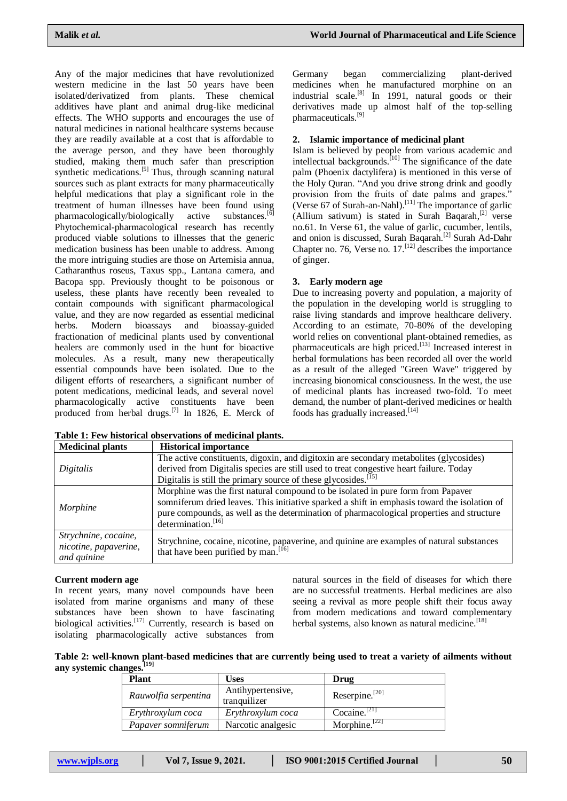Any of the major medicines that have revolutionized western medicine in the last 50 years have been isolated/derivatized from plants. These chemical additives have plant and animal drug-like medicinal effects. The WHO supports and encourages the use of natural medicines in national healthcare systems because they are readily available at a cost that is affordable to the average person, and they have been thoroughly studied, making them much safer than prescription synthetic medications.<sup>[5]</sup> Thus, through scanning natural sources such as plant extracts for many pharmaceutically helpful medications that play a significant role in the treatment of human illnesses have been found using<br>pharmacologically/biologically active substances.<sup>[6]</sup> pharmacologically/biologically active Phytochemical-pharmacological research has recently produced viable solutions to illnesses that the generic medication business has been unable to address. Among the more intriguing studies are those on Artemisia annua, Catharanthus roseus, Taxus spp., Lantana camera, and Bacopa spp. Previously thought to be poisonous or useless, these plants have recently been revealed to contain compounds with significant pharmacological value, and they are now regarded as essential medicinal herbs. Modern bioassays and bioassay-guided fractionation of medicinal plants used by conventional healers are commonly used in the hunt for bioactive molecules. As a result, many new therapeutically essential compounds have been isolated. Due to the diligent efforts of researchers, a significant number of potent medications, medicinal leads, and several novel pharmacologically active constituents have been produced from herbal drugs.<sup>[7]</sup> In 1826, E. Merck of Germany began commercializing plant-derived medicines when he manufactured morphine on an industrial scale.<sup>[8]</sup> In 1991, natural goods or their derivatives made up almost half of the top-selling pharmaceuticals.[9]

## **2. Islamic importance of medicinal plant**

Islam is believed by people from various academic and intellectual backgrounds.<sup>[10]</sup> The significance of the date palm (Phoenix dactylifera) is mentioned in this verse of the Holy Quran. "And you drive strong drink and goodly provision from the fruits of date palms and grapes." (Verse  $67$  of Surah-an-Nahl).<sup>[11]</sup> The importance of garlic (Allium sativum) is stated in Surah Baqarah, $^{[2]}$  verse no.61. In Verse 61, the value of garlic, cucumber, lentils, and onion is discussed, Surah Baqarah.<sup>[2]</sup> Surah Ad-Dahr Chapter no. 76, Verse no.  $17$ .  $^{[12]}$  describes the importance of ginger.

### **3. Early modern age**

Due to increasing poverty and population, a majority of the population in the developing world is struggling to raise living standards and improve healthcare delivery. According to an estimate, 70-80% of the developing world relies on conventional plant-obtained remedies, as pharmaceuticals are high priced.<sup>[13]</sup> Increased interest in herbal formulations has been recorded all over the world as a result of the alleged "Green Wave" triggered by increasing bionomical consciousness. In the west, the use of medicinal plants has increased two-fold. To meet demand, the number of plant-derived medicines or health foods has gradually increased. $^{[14]}$ 

| <b>Medicinal plants</b>                                      | <b>Historical importance</b>                                                                                                                                                                                                                                                                                   |
|--------------------------------------------------------------|----------------------------------------------------------------------------------------------------------------------------------------------------------------------------------------------------------------------------------------------------------------------------------------------------------------|
|                                                              | The active constituents, digoxin, and digitoxin are secondary metabolites (glycosides)                                                                                                                                                                                                                         |
| Digitalis                                                    | derived from Digitalis species are still used to treat congestive heart failure. Today                                                                                                                                                                                                                         |
|                                                              | Digitalis is still the primary source of these glycosides. $^{[15]}$                                                                                                                                                                                                                                           |
| Morphine                                                     | Morphine was the first natural compound to be isolated in pure form from Papaver<br>somniferum dried leaves. This initiative sparked a shift in emphasis toward the isolation of<br>pure compounds, as well as the determination of pharmacological properties and structure<br>determination. <sup>[16]</sup> |
| Strychnine, cocaine,<br>nicotine, papaverine,<br>and quinine | Strychnine, cocaine, nicotine, papaverine, and quinine are examples of natural substances<br>that have been purified by man. [16]                                                                                                                                                                              |

**Table 1: Few historical observations of medicinal plants.**

### **Current modern age**

In recent years, many novel compounds have been isolated from marine organisms and many of these substances have been shown to have fascinating biological activities.<sup>[17]</sup> Currently, research is based on isolating pharmacologically active substances from

natural sources in the field of diseases for which there are no successful treatments. Herbal medicines are also seeing a revival as more people shift their focus away from modern medications and toward complementary herbal systems, also known as natural medicine.<sup>[18]</sup>

**Table 2: well-known plant-based medicines that are currently being used to treat a variety of ailments without any systemic changes.[19]**

| <b>Plant</b>         | Uses                              | Drug                      |
|----------------------|-----------------------------------|---------------------------|
| Rauwolfia serpentina | Antihypertensive,<br>tranquilizer | Reserpine. $^{[20]}$      |
| Erythroxylum coca    | Erythroxylum coca                 | Cocaine. $[21]$           |
| Papaver somniferum   | Narcotic analgesic                | Morphine. <sup>[22]</sup> |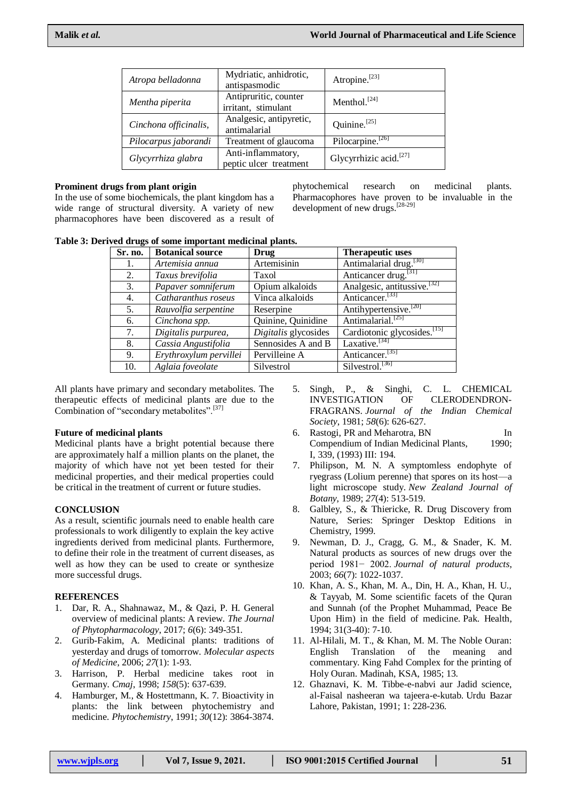| Atropa belladonna     | Mydriatic, anhidrotic,<br>antispasmodic      | Atropine. <sup>[23]</sup>          |
|-----------------------|----------------------------------------------|------------------------------------|
| Mentha piperita       | Antipruritic, counter<br>irritant, stimulant | Menthol. $[24]$                    |
| Cinchona officinalis, | Analgesic, antipyretic,<br>antimalarial      | Quinine. $[25]$                    |
| Pilocarpus jaborandi  | Treatment of glaucoma                        | Pilocarpine. <sup>[26]</sup>       |
| Glycyrrhiza glabra    | Anti-inflammatory,<br>peptic ulcer treatment | Glycyrrhizic acid. <sup>[27]</sup> |

#### **Prominent drugs from plant origin**

In the use of some biochemicals, the plant kingdom has a wide range of structural diversity. A variety of new pharmacophores have been discovered as a result of phytochemical research on medicinal plants. Pharmacophores have proven to be invaluable in the development of new drugs. [28-29]

**Table 3: Derived drugs of some important medicinal plants.**

| Sr. no. | <b>Botanical source</b> | Drug                 | <b>Therapeutic uses</b>                 |
|---------|-------------------------|----------------------|-----------------------------------------|
| 1.      | Artemisia annua         | Artemisinin          | Antimalarial drug. <sup>[30]</sup>      |
| 2.      | Taxus brevifolia        | Taxol                | Anticancer drug. <sup>[31]</sup>        |
| 3.      | Papaver somniferum      | Opium alkaloids      | Analgesic, antitussive. <sup>[32]</sup> |
| 4.      | Catharanthus roseus     | Vinca alkaloids      | Anticancer. <sup>[33]</sup>             |
| 5.      | Rauvolfia serpentine    | Reserpine            | Antihypertensive. <sup>[20]</sup>       |
| 6.      | Cinchona spp.           | Quinine, Quinidine   | Antimalarial. <sup>[25]</sup>           |
| 7.      | Digitalis purpurea,     | Digitalis glycosides | Cardiotonic glycosides. <sup>[15]</sup> |
| 8.      | Cassia Angustifolia     | Sennosides A and B   | Laxative. <sup>[34]</sup>               |
| 9.      | Erythroxylum pervillei  | Pervilleine A        | Anticancer. <sup>[35]</sup>             |
| 10.     | Aglaia foveolate        | Silvestrol           | Silvestrol. <sup>[36]</sup>             |

All plants have primary and secondary metabolites. The therapeutic effects of medicinal plants are due to the Combination of "secondary metabolites".<sup>[37]</sup>

### **Future of medicinal plants**

Medicinal plants have a bright potential because there are approximately half a million plants on the planet, the majority of which have not yet been tested for their medicinal properties, and their medical properties could be critical in the treatment of current or future studies.

## **CONCLUSION**

As a result, scientific journals need to enable health care professionals to work diligently to explain the key active ingredients derived from medicinal plants. Furthermore, to define their role in the treatment of current diseases, as well as how they can be used to create or synthesize more successful drugs.

### **REFERENCES**

- 1. Dar, R. A., Shahnawaz, M., & Qazi, P. H. General overview of medicinal plants: A review. *The Journal of Phytopharmacology*, 2017; *6*(6): 349-351.
- 2. Gurib-Fakim, A. Medicinal plants: traditions of yesterday and drugs of tomorrow. *Molecular aspects of Medicine*, 2006; *27*(1): 1-93.
- 3. Harrison, P. Herbal medicine takes root in Germany. *Cmaj*, 1998; *158*(5): 637-639.
- 4. Hamburger, M., & Hostettmann, K. 7. Bioactivity in plants: the link between phytochemistry and medicine. *Phytochemistry*, 1991; *30*(12): 3864-3874.
- 5. Singh, P., & Singhi, C. L. CHEMICAL INVESTIGATION OF CLERODENDRON-FRAGRANS. *Journal of the Indian Chemical Society*, 1981; *58*(6): 626-627.
- 6. Rastogi, PR and Meharotra, BN In Compendium of Indian Medicinal Plants, 1990; I, 339, (1993) III: 194.
- 7. Philipson, M. N. A symptomless endophyte of ryegrass (Lolium perenne) that spores on its host—a light microscope study. *New Zealand Journal of Botany*, 1989; *27*(4): 513-519.
- 8. Galbley, S., & Thiericke, R. Drug Discovery from Nature, Series: Springer Desktop Editions in Chemistry, 1999.
- 9. Newman, D. J., Cragg, G. M., & Snader, K. M. Natural products as sources of new drugs over the period 1981− 2002. *Journal of natural products*, 2003; *66*(7): 1022-1037.
- 10. Khan, A. S., Khan, M. A., Din, H. A., Khan, H. U., & Tayyab, M. Some scientific facets of the Quran and Sunnah (of the Prophet Muhammad, Peace Be Upon Him) in the field of medicine. Pak. Health, 1994; 31(3-40): 7-10.
- 11. Al-Hilali, M. T., & Khan, M. M. The Noble Ouran: English Translation of the meaning and commentary. King Fahd Complex for the printing of Holy Ouran. Madinah, KSA, 1985; 13.
- 12. Ghaznavi, K. M. Tibbe-e-nabvi aur Jadid science, al-Faisal nasheeran wa tajeera-e-kutab. Urdu Bazar Lahore, Pakistan, 1991; 1: 228-236.